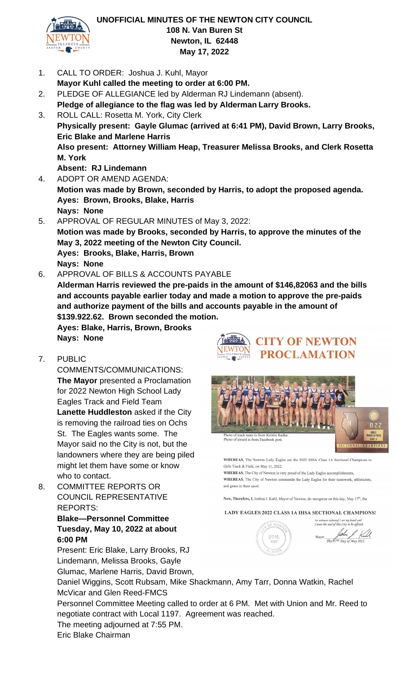

#### **UNOFFICIAL MINUTES OF THE NEWTON CITY COUNCIL 108 N. Van Buren St Newton, IL 62448 May 17, 2022**

- 1. CALL TO ORDER: Joshua J. Kuhl, Mayor
- **Mayor Kuhl called the meeting to order at 6:00 PM.** 2. PLEDGE OF ALLEGIANCE led by Alderman RJ Lindemann (absent).
- **Pledge of allegiance to the flag was led by Alderman Larry Brooks.** 3. ROLL CALL: Rosetta M. York, City Clerk **Physically present: Gayle Glumac (arrived at 6:41 PM), David Brown, Larry Brooks, Eric Blake and Marlene Harris Also present: Attorney William Heap, Treasurer Melissa Brooks, and Clerk Rosetta M. York Absent: RJ Lindemann**
- 4. ADOPT OR AMEND AGENDA: **Motion was made by Brown, seconded by Harris, to adopt the proposed agenda. Ayes: Brown, Brooks, Blake, Harris Nays: None**
- 5. APPROVAL OF REGULAR MINUTES of May 3, 2022: **Motion was made by Brooks, seconded by Harris, to approve the minutes of the May 3, 2022 meeting of the Newton City Council. Ayes: Brooks, Blake, Harris, Brown Nays: None**
- 6. APPROVAL OF BILLS & ACCOUNTS PAYABLE **Alderman Harris reviewed the pre-paids in the amount of \$146,82063 and the bills and accounts payable earlier today and made a motion to approve the pre-paids and authorize payment of the bills and accounts payable in the amount of \$139.922.62. Brown seconded the motion.**

**Ayes: Blake, Harris, Brown, Brooks Nays: None** 

7. PUBLIC

COMMENTS/COMMUNICATIONS: **The Mayor** presented a Proclamation for 2022 Newton High School Lady Eagles Track and Field Team **Lanette Huddleston** asked if the City is removing the railroad ties on Ochs St. The Eagles wants some. The Mayor said no the City is not, but the landowners where they are being piled might let them have some or know who to contact.

8. COMMITTEE REPORTS OR COUNCIL REPRESENTATIVE REPORTS:

> **Blake—Personnel Committee Tuesday, May 10, 2022 at about 6:00 PM**

Present: Eric Blake, Larry Brooks, RJ Lindemann, Melissa Brooks, Gayle Glumac, Marlene Harris, David Brown,





WHEREAS, The Newton Lady Eagles are the 2022 IHSA Class 1A Sectional Champions in Girls Track & Field, on May 11, 2022.

WHEREAS, The City of Newton is very proud of the Lady Eagles accomplishments WHEREAS, The City of Newton commends the Lady Eagles for their teamwork, athleticism, and grace in their sport.

Now, Therefore, I, Joshua J. Kuhl, Mayor of Newton, do recognize on this day, May 17<sup>th</sup>, the

LADY EAGLES 2022 CLASS 1A IHSA SECTIONAL CHAMPIONS!

In witness whereof I set my hand and<br>Cause the seal of this City to be affixed. Mayor This 17<sup>21</sup> Day of May 2022

Daniel Wiggins, Scott Rubsam, Mike Shackmann, Amy Tarr, Donna Watkin, Rachel McVicar and Glen Reed-FMCS

Personnel Committee Meeting called to order at 6 PM. Met with Union and Mr. Reed to negotiate contract with Local 1197. Agreement was reached.

The meeting adjourned at 7:55 PM.

Eric Blake Chairman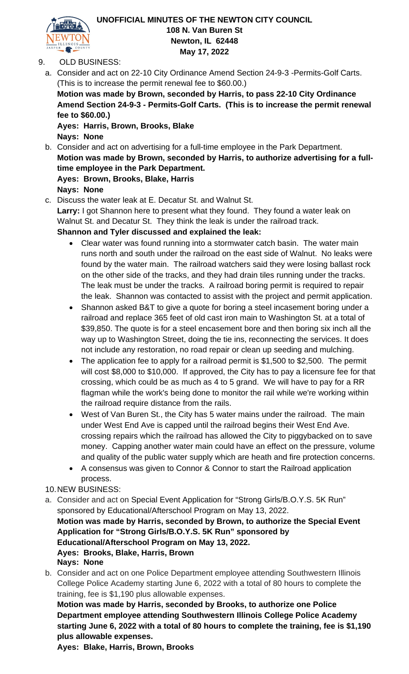

# **UNOFFICIAL MINUTES OF THE NEWTON CITY COUNCIL 108 N. Van Buren St Newton, IL 62448 May 17, 2022**

## 9. OLD BUSINESS:

a. Consider and act on 22-10 City Ordinance Amend Section 24-9-3 -Permits-Golf Carts. (This is to increase the permit renewal fee to \$60.00.)

**Motion was made by Brown, seconded by Harris, to pass 22-10 City Ordinance Amend Section 24-9-3 - Permits-Golf Carts. (This is to increase the permit renewal fee to \$60.00.)**

**Ayes: Harris, Brown, Brooks, Blake Nays: None**

b. Consider and act on advertising for a full-time employee in the Park Department. **Motion was made by Brown, seconded by Harris, to authorize advertising for a fulltime employee in the Park Department. Ayes: Brown, Brooks, Blake, Harris Nays: None**

c. Discuss the water leak at E. Decatur St. and Walnut St. **Larry:** I got Shannon here to present what they found. They found a water leak on Walnut St. and Decatur St. They think the leak is under the railroad track. **Shannon and Tyler discussed and explained the leak:**

- Clear water was found running into a stormwater catch basin. The water main runs north and south under the railroad on the east side of Walnut. No leaks were found by the water main. The railroad watchers said they were losing ballast rock on the other side of the tracks, and they had drain tiles running under the tracks. The leak must be under the tracks. A railroad boring permit is required to repair the leak. Shannon was contacted to assist with the project and permit application.
- Shannon asked B&T to give a quote for boring a steel incasement boring under a railroad and replace 365 feet of old cast iron main to Washington St. at a total of \$39,850. The quote is for a steel encasement bore and then boring six inch all the way up to Washington Street, doing the tie ins, reconnecting the services. It does not include any restoration, no road repair or clean up seeding and mulching.
- The application fee to apply for a railroad permit is \$1,500 to \$2,500. The permit will cost \$8,000 to \$10,000. If approved, the City has to pay a licensure fee for that crossing, which could be as much as 4 to 5 grand. We will have to pay for a RR flagman while the work's being done to monitor the rail while we're working within the railroad require distance from the rails.
- West of Van Buren St., the City has 5 water mains under the railroad. The main under West End Ave is capped until the railroad begins their West End Ave. crossing repairs which the railroad has allowed the City to piggybacked on to save money. Capping another water main could have an effect on the pressure, volume and quality of the public water supply which are heath and fire protection concerns.
- A consensus was given to Connor & Connor to start the Railroad application process.
- 10.NEW BUSINESS:
- a. Consider and act on Special Event Application for "Strong Girls/B.O.Y.S. 5K Run" sponsored by Educational/Afterschool Program on May 13, 2022. **Motion was made by Harris, seconded by Brown, to authorize the Special Event Application for "Strong Girls/B.O.Y.S. 5K Run" sponsored by Educational/Afterschool Program on May 13, 2022. Ayes: Brooks, Blake, Harris, Brown Nays: None**
- b. Consider and act on one Police Department employee attending Southwestern Illinois College Police Academy starting June 6, 2022 with a total of 80 hours to complete the training, fee is \$1,190 plus allowable expenses.

**Motion was made by Harris, seconded by Brooks, to authorize one Police Department employee attending Southwestern Illinois College Police Academy starting June 6, 2022 with a total of 80 hours to complete the training, fee is \$1,190 plus allowable expenses.** 

**Ayes: Blake, Harris, Brown, Brooks**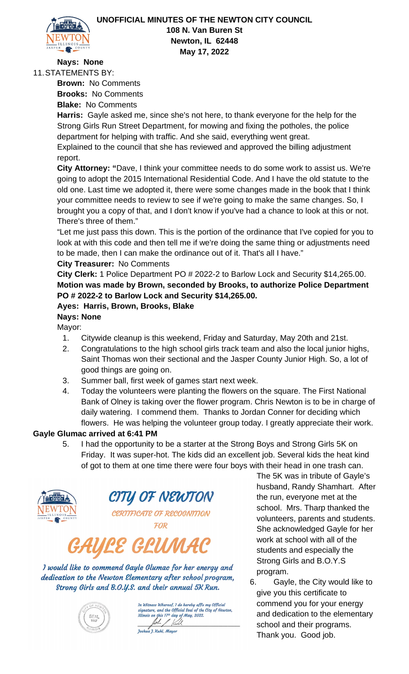

# **Nays: None**

11.STATEMENTS BY:

**Brown:** No Comments **Brooks:** No Comments **Blake:** No Comments

**Harris:** Gayle asked me, since she's not here, to thank everyone for the help for the Strong Girls Run Street Department, for mowing and fixing the potholes, the police department for helping with traffic. And she said, everything went great.

Explained to the council that she has reviewed and approved the billing adjustment report.

**City Attorney: "**Dave, I think your committee needs to do some work to assist us. We're going to adopt the 2015 International Residential Code. And I have the old statute to the old one. Last time we adopted it, there were some changes made in the book that I think your committee needs to review to see if we're going to make the same changes. So, I brought you a copy of that, and I don't know if you've had a chance to look at this or not. There's three of them."

"Let me just pass this down. This is the portion of the ordinance that I've copied for you to look at with this code and then tell me if we're doing the same thing or adjustments need to be made, then I can make the ordinance out of it. That's all I have."

## **City Treasurer:** No Comments

**City Clerk:** 1 Police Department PO # 2022-2 to Barlow Lock and Security \$14,265.00. **Motion was made by Brown, seconded by Brooks, to authorize Police Department PO # 2022-2 to Barlow Lock and Security \$14,265.00.**

#### **Ayes: Harris, Brown, Brooks, Blake**

**Nays: None** Mayor:

- 1. Citywide cleanup is this weekend, Friday and Saturday, May 20th and 21st.
- 2. Congratulations to the high school girls track team and also the local junior highs, Saint Thomas won their sectional and the Jasper County Junior High. So, a lot of good things are going on.
- 3. Summer ball, first week of games start next week.
- 4. Today the volunteers were planting the flowers on the square. The First National Bank of Olney is taking over the flower program. Chris Newton is to be in charge of daily watering. I commend them. Thanks to Jordan Conner for deciding which flowers. He was helping the volunteer group today. I greatly appreciate their work.

#### **Gayle Glumac arrived at 6:41 PM**

5. I had the opportunity to be a starter at the Strong Boys and Strong Girls 5K on Friday. It was super-hot. The kids did an excellent job. Several kids the heat kind of got to them at one time there were four boys with their head in one trash can.



CITY OF NEWTON

CERTIFICATE OF RECOGNITION FOR

# ULE GLUM

I would like to commend Gayle Glumac for her energy and dedication to the Newton Elementary after school program, Strong Girls and B.O.Y.S. and their annual 5K Run.



)n Witness Whereof, I do hereby affix my Official<br>signature, and the Official Seal of the City of Newton, this 17th day of May, 2022. John & Kull

Joshua J. Kuhl, Mayor

The 5K was in tribute of Gayle's husband, Randy Shamhart. After the run, everyone met at the school. Mrs. Tharp thanked the volunteers, parents and students. She acknowledged Gayle for her work at school with all of the students and especially the Strong Girls and B.O.Y.S program.

6. Gayle, the City would like to give you this certificate to commend you for your energy and dedication to the elementary school and their programs. Thank you. Good job.